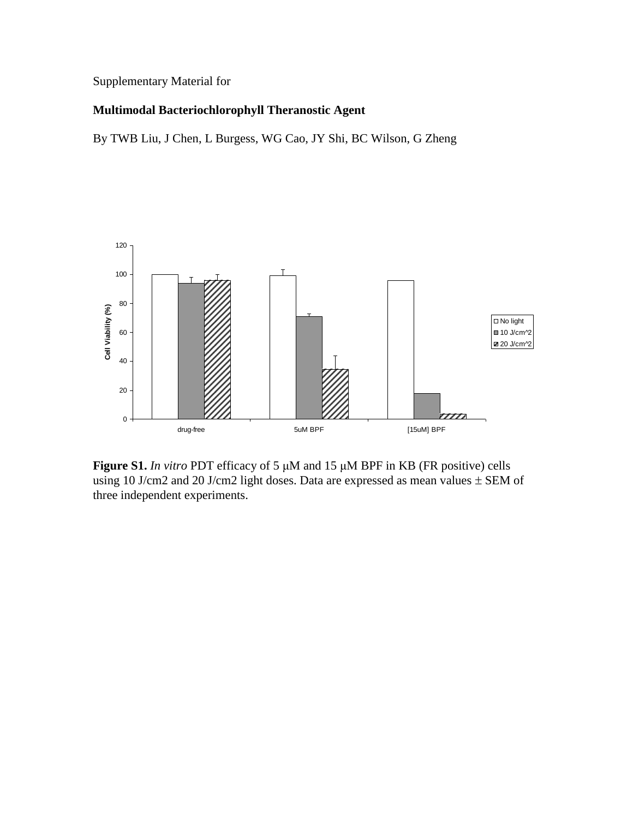## Supplementary Material for

## **Multimodal Bacteriochlorophyll Theranostic Agent**

By TWB Liu, J Chen, L Burgess, WG Cao, JY Shi, BC Wilson, G Zheng



**Figure S1.** *In vitro* PDT efficacy of 5 μM and 15 μM BPF in KB (FR positive) cells using 10 J/cm2 and 20 J/cm2 light doses. Data are expressed as mean values  $\pm$  SEM of three independent experiments.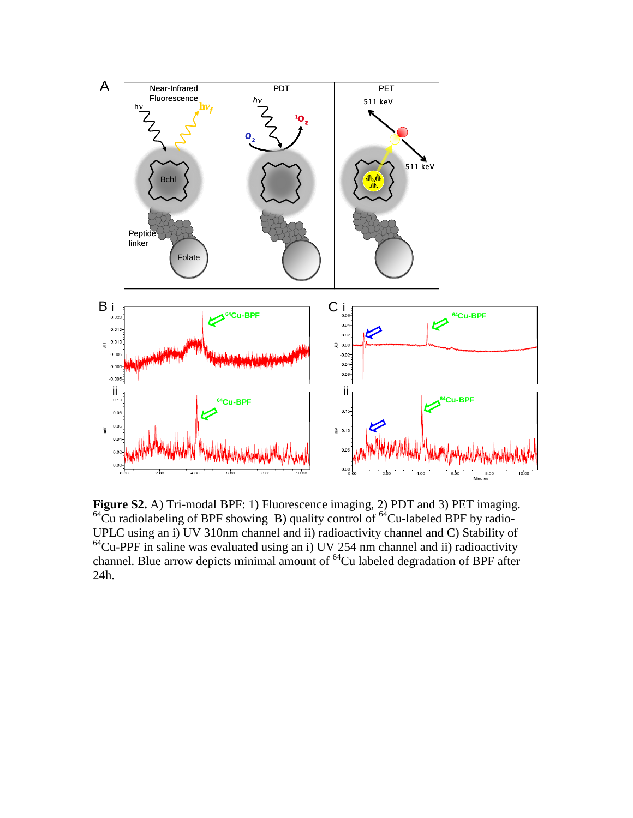

Figure S2. A) Tri-modal BPF: 1) Fluorescence imaging, 2) PDT and 3) PET imaging.  $64\text{Cu}$  radiolabeling of BPF showing B) quality control of  $64\text{Cu-labeled BPF}$  by radio-UPLC using an i) UV 310nm channel and ii) radioactivity channel and C) Stability of  $64$ Cu-PPF in saline was evaluated using an i) UV 254 nm channel and ii) radioactivity channel. Blue arrow depicts minimal amount of  ${}^{64}$ Cu labeled degradation of BPF after 24h.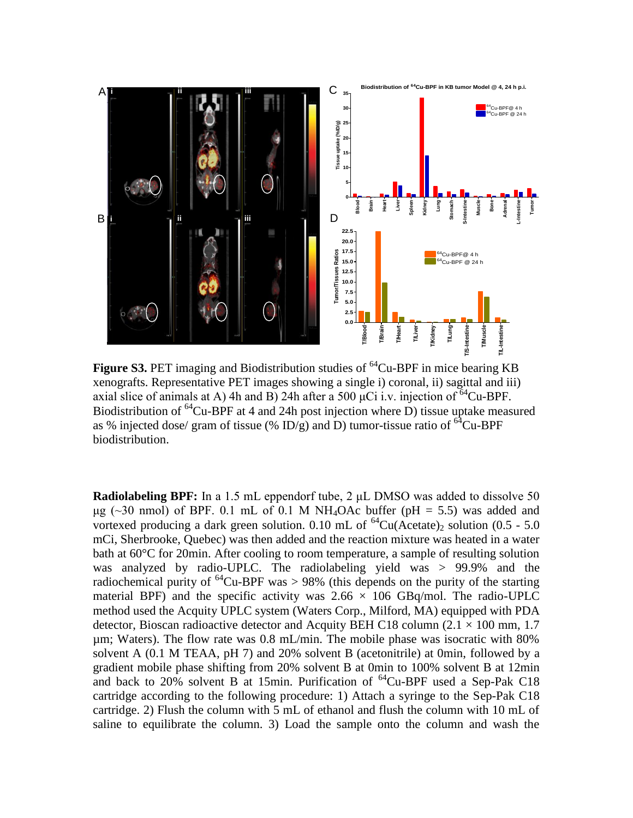

**Figure S3.** PET imaging and Biodistribution studies of <sup>64</sup>Cu-BPF in mice bearing KB xenografts. Representative PET images showing a single i) coronal, ii) sagittal and iii) xenografts. Representative PET images showing a single i) coronal, ii) sagittal and iii) axial slice of animals at A) 4h and B) 24h after a 500  $\mu$ Ci i.v. injection of <sup>64</sup>Cu-BPF. Biodistribution of <sup>64</sup>Cu-BPF at 4 and 24h post injection where D) tissue uptake measured as % injected dose/ gram of tissue (% ID/g) and D) tumor-tissue ratio of  $^{64}Cu-BPF$ biodistribution.

**Radiolabeling BPF:** In a 1.5 mL eppendorf tube, 2 μL DMSO was added to dissolve 50 μg ( $\sim$ 30 nmol) of BPF. 0.1 mL of 0.1 M NH<sub>4</sub>OAc buffer (pH = 5.5) was added and vortexed producing a dark green solution. 0.10 mL of <sup>64</sup>Cu(Acetate)<sub>2</sub> solution (0.5 - 5.0) mCi, Sherbrooke, Quebec) was then added and the reaction mixture was heated in a water bath at 60°C for 20min. After cooling to room temperature, a sample of resulting solution was analyzed by radio-UPLC. The radiolabeling yield was > 99.9% and the radiochemical purity of  $^{64}$ Cu-BPF was  $> 98\%$  (this depends on the purity of the starting material BPF) and the specific activity was  $2.66 \times 106$  GBq/mol. The radio-UPLC method used the Acquity UPLC system (Waters Corp., Milford, MA) equipped with PDA detector, Bioscan radioactive detector and Acquity BEH C18 column (2.1  $\times$  100 mm, 1.7 µm; Waters). The flow rate was 0.8 mL/min. The mobile phase was isocratic with 80% solvent A (0.1 M TEAA, pH 7) and 20% solvent B (acetonitrile) at 0min, followed by a gradient mobile phase shifting from 20% solvent B at 0min to 100% solvent B at 12min and back to 20% solvent B at 15min. Purification of  ${}^{64}$ Cu-BPF used a Sep-Pak C18 cartridge according to the following procedure: 1) Attach a syringe to the Sep-Pak C18 cartridge. 2) Flush the column with 5 mL of ethanol and flush the column with 10 mL of saline to equilibrate the column. 3) Load the sample onto the column and wash the